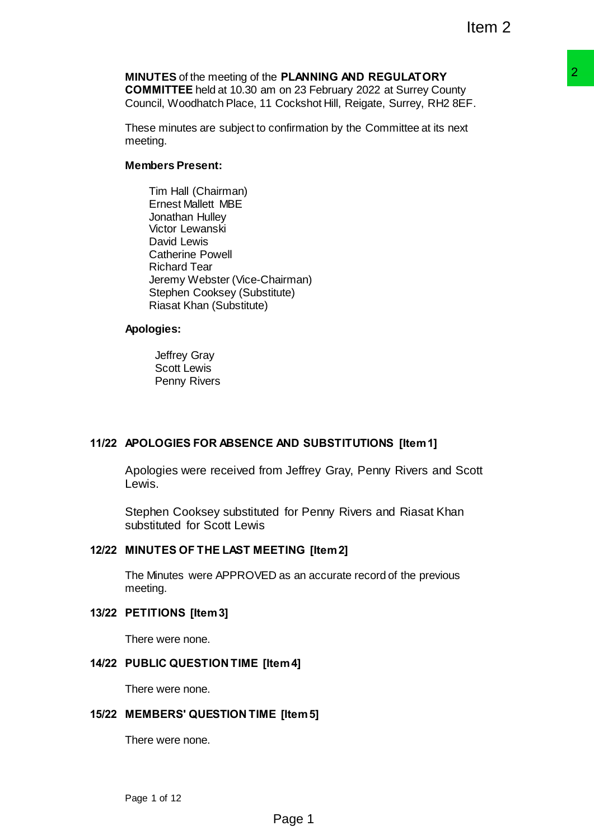# **MINUTES** of the meeting of the **PLANNING AND REGULATORY COMMITTEE** held at 10.30 am on 23 February 2022 at Surrey County

Council, Woodhatch Place, 11 Cockshot Hill, Reigate, Surrey, RH2 8EF.

These minutes are subject to confirmation by the Committee at its next meeting.

## **Members Present:**

Tim Hall (Chairman) Ernest Mallett MBE Jonathan Hulley Victor Lewanski David Lewis Catherine Powell Richard Tear Jeremy Webster (Vice-Chairman) Stephen Cooksey (Substitute) Riasat Khan (Substitute)

#### **Apologies:**

Jeffrey Gray Scott Lewis Penny Rivers

# **11/22 APOLOGIES FOR ABSENCE AND SUBSTITUTIONS [Item 1]**

Apologies were received from Jeffrey Gray, Penny Rivers and Scott Lewis. **PLANING AND REGULATORY**<br> **PLANING AND REGULATORY**<br>
Cockshot Hill, Reigate, Surrey, RH2 BEF.<br>
Cockshot Hill, Reigate, Surrey, RH2 BEF.<br>
confirmation by the Committee at its next<br>
d for Penny Rivers and Riasat Khan<br>
TING [I

Stephen Cooksey substituted for Penny Rivers and Riasat Khan substituted for Scott Lewis

# **12/22 MINUTES OF THE LAST MEETING [Item 2]**

The Minutes were APPROVED as an accurate record of the previous meeting.

#### **13/22 PETITIONS [Item 3]**

There were none.

# **14/22 PUBLIC QUESTION TIME [Item 4]**

There were none.

#### **15/22 MEMBERS' QUESTION TIME [Item 5]**

There were none.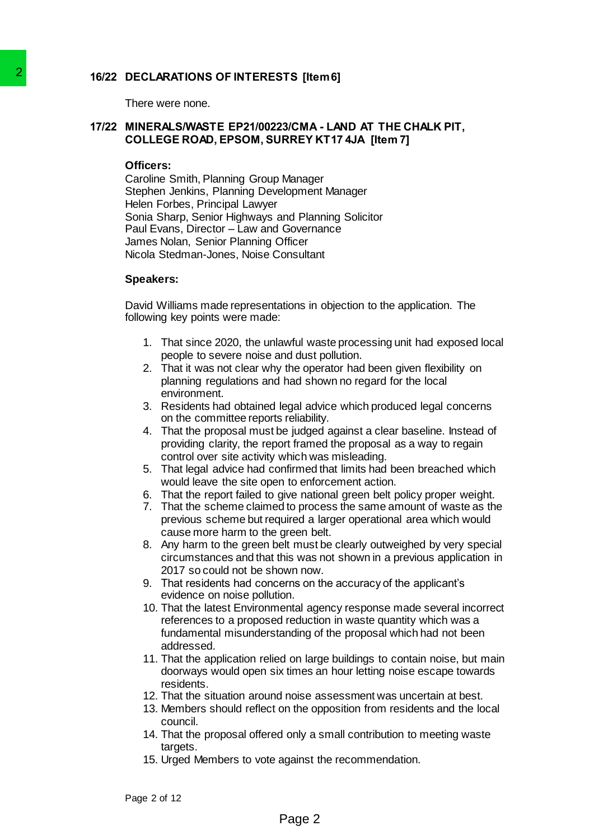# **16/22 DECLARATIONS OF INTERESTS [Item 6]**

There were none.

## **17/22 MINERALS/WASTE EP21/00223/CMA - LAND AT THE CHALK PIT, COLLEGE ROAD, EPSOM, SURREY KT17 4JA [Item 7]**

#### **Officers:**

Caroline Smith, Planning Group Manager Stephen Jenkins, Planning Development Manager Helen Forbes, Principal Lawyer Sonia Sharp, Senior Highways and Planning Solicitor Paul Evans, Director – Law and Governance James Nolan, Senior Planning Officer Nicola Stedman-Jones, Noise Consultant 2<br>
There were none.<br>
TR22 INNERESTS (Its<br>
There were none.<br>
TR22 COMELEGE ROAD, EPSOM, SURREY<br>
COLLEGE ROAD, EPSOM, SURREY<br>
COMENT COMENT (Panning Group Management<br>
Stephen Jenkin, Panning Development<br>
Stephen Jenkins, Sin

#### **Speakers:**

David Williams made representations in objection to the application. The following key points were made:

- 1. That since 2020, the unlawful waste processing unit had exposed local people to severe noise and dust pollution.
- 2. That it was not clear why the operator had been given flexibility on planning regulations and had shown no regard for the local environment.
- 3. Residents had obtained legal advice which produced legal concerns on the committee reports reliability.
- 4. That the proposal must be judged against a clear baseline. Instead of providing clarity, the report framed the proposal as a way to regain control over site activity which was misleading.
- 5. That legal advice had confirmed that limits had been breached which would leave the site open to enforcement action.
- 6. That the report failed to give national green belt policy proper weight.
- 7. That the scheme claimed to process the same amount of waste as the previous scheme but required a larger operational area which would cause more harm to the green belt.
- 8. Any harm to the green belt must be clearly outweighed by very special circumstances and that this was not shown in a previous application in 2017 so could not be shown now.
- 9. That residents had concerns on the accuracy of the applicant's evidence on noise pollution.
- 10. That the latest Environmental agency response made several incorrect references to a proposed reduction in waste quantity which was a fundamental misunderstanding of the proposal which had not been addressed.
- 11. That the application relied on large buildings to contain noise, but main doorways would open six times an hour letting noise escape towards residents.
- 12. That the situation around noise assessment was uncertain at best.
- 13. Members should reflect on the opposition from residents and the local council.
- 14. That the proposal offered only a small contribution to meeting waste targets.
- 15. Urged Members to vote against the recommendation.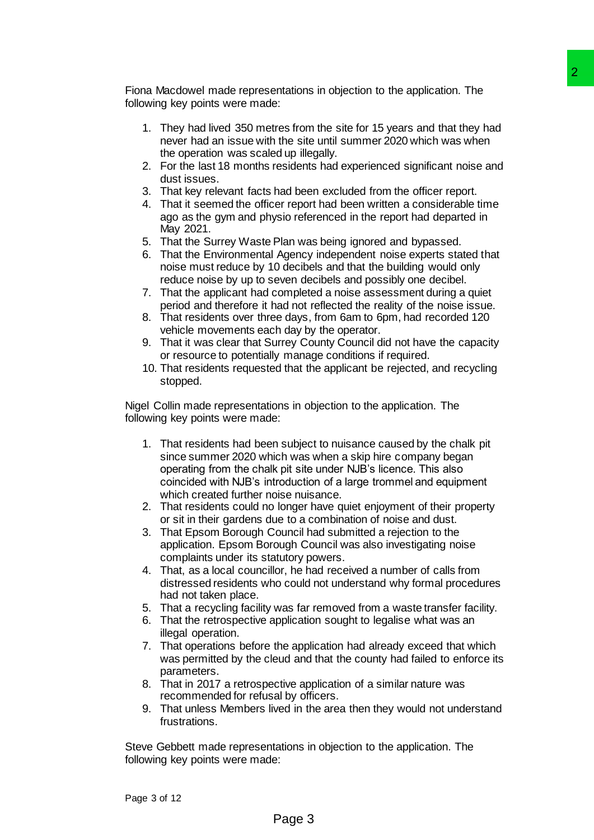Fiona Macdowel made representations in objection to the application. The following key points were made:

- 1. They had lived 350 metres from the site for 15 years and that they had never had an issue with the site until summer 2020 which was when the operation was scaled up illegally.
- 2. For the last 18 months residents had experienced significant noise and dust issues.
- 3. That key relevant facts had been excluded from the officer report.
- 4. That it seemed the officer report had been written a considerable time ago as the gym and physio referenced in the report had departed in May 2021.
- 5. That the Surrey Waste Plan was being ignored and bypassed.
- 6. That the Environmental Agency independent noise experts stated that noise must reduce by 10 decibels and that the building would only reduce noise by up to seven decibels and possibly one decibel.
- 7. That the applicant had completed a noise assessment during a quiet period and therefore it had not reflected the reality of the noise issue.
- 8. That residents over three days, from 6am to 6pm, had recorded 120 vehicle movements each day by the operator.
- 9. That it was clear that Surrey County Council did not have the capacity or resource to potentially manage conditions if required.
- 10. That residents requested that the applicant be rejected, and recycling stopped.

Nigel Collin made representations in objection to the application. The following key points were made:

- 1. That residents had been subject to nuisance caused by the chalk pit since summer 2020 which was when a skip hire company began operating from the chalk pit site under NJB's licence. This also coincided with NJB's introduction of a large trommel and equipment which created further noise nuisance. Page 3 2
- 2. That residents could no longer have quiet enjoyment of their property or sit in their gardens due to a combination of noise and dust.
- 3. That Epsom Borough Council had submitted a rejection to the application. Epsom Borough Council was also investigating noise complaints under its statutory powers.
- 4. That, as a local councillor, he had received a number of calls from distressed residents who could not understand why formal procedures had not taken place.
- 5. That a recycling facility was far removed from a waste transfer facility.
- 6. That the retrospective application sought to legalise what was an illegal operation.
- 7. That operations before the application had already exceed that which was permitted by the cleud and that the county had failed to enforce its parameters.
- 8. That in 2017 a retrospective application of a similar nature was recommended for refusal by officers.
- 9. That unless Members lived in the area then they would not understand frustrations.

Steve Gebbett made representations in objection to the application. The following key points were made: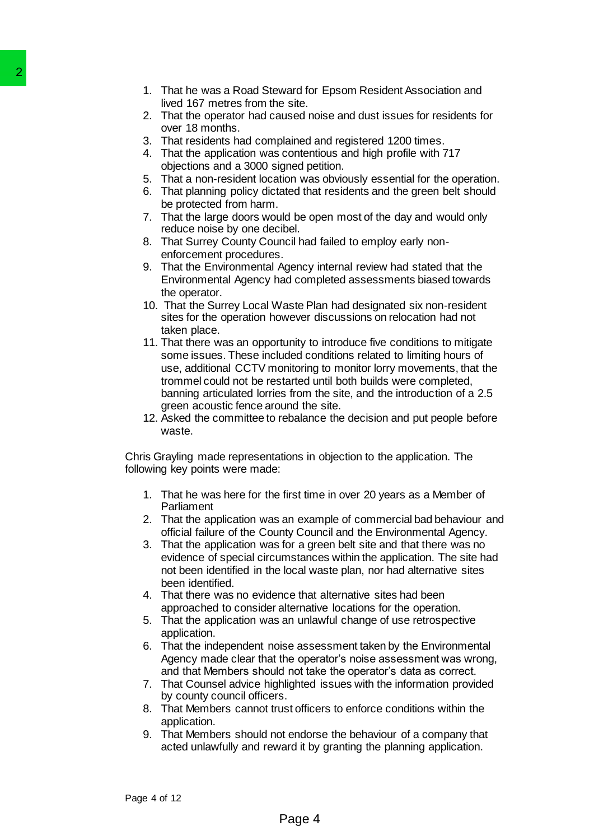- 1. That he was a Road Steward for Epsom Resident Association and lived 167 metres from the site.
- 2. That the operator had caused noise and dust issues for residents for over 18 months.
- 3. That residents had complained and registered 1200 times.
- 4. That the application was contentious and high profile with 717 objections and a 3000 signed petition.
- 5. That a non-resident location was obviously essential for the operation.
- 6. That planning policy dictated that residents and the green belt should be protected from harm.
- 7. That the large doors would be open most of the day and would only reduce noise by one decibel.
- 8. That Surrey County Council had failed to employ early nonenforcement procedures.
- 9. That the Environmental Agency internal review had stated that the Environmental Agency had completed assessments biased towards the operator.
- 10. That the Surrey Local Waste Plan had designated six non-resident sites for the operation however discussions on relocation had not taken place.
- 11. That there was an opportunity to introduce five conditions to mitigate some issues. These included conditions related to limiting hours of use, additional CCTV monitoring to monitor lorry movements, that the trommel could not be restarted until both builds were completed, banning articulated lorries from the site, and the introduction of a 2.5 green acoustic fence around the site. 2<br>
1. That he was a Road Steward for<br>
lived 167 metris from the site.<br>
2. That the operator had caused no<br>
over 18 months.<br>
3. That residents had complained at<br>
4. That the application was content<br>
4. That the application
	- 12. Asked the committee to rebalance the decision and put people before waste.

Chris Grayling made representations in objection to the application. The following key points were made:

- 1. That he was here for the first time in over 20 years as a Member of Parliament
- 2. That the application was an example of commercial bad behaviour and official failure of the County Council and the Environmental Agency.
- 3. That the application was for a green belt site and that there was no evidence of special circumstances within the application. The site had not been identified in the local waste plan, nor had alternative sites been identified.
- 4. That there was no evidence that alternative sites had been approached to consider alternative locations for the operation.
- 5. That the application was an unlawful change of use retrospective application.
- 6. That the independent noise assessment taken by the Environmental Agency made clear that the operator's noise assessment was wrong, and that Members should not take the operator's data as correct.
- 7. That Counsel advice highlighted issues with the information provided by county council officers.
- 8. That Members cannot trust officers to enforce conditions within the application.
- 9. That Members should not endorse the behaviour of a company that acted unlawfully and reward it by granting the planning application.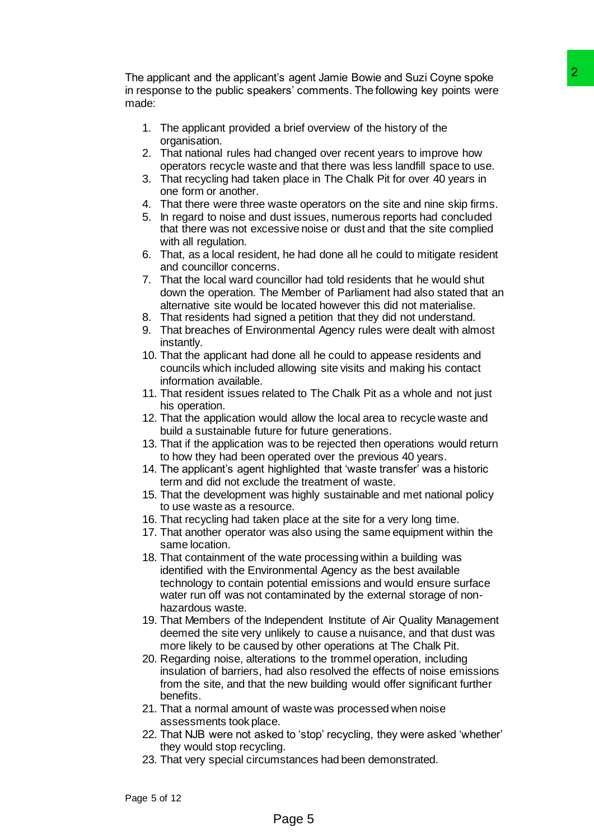The applicant and the applicant's agent Jamie Bowie and Suzi Coyne spoke in response to the public speakers' comments. The following key points were made:

- 1. The applicant provided a brief overview of the history of the organisation.
- 2. That national rules had changed over recent years to improve how operators recycle waste and that there was less landfill space to use.
- 3. That recycling had taken place in The Chalk Pit for over 40 years in one form or another.
- 4. That there were three waste operators on the site and nine skip firms.
- 5. In regard to noise and dust issues, numerous reports had concluded that there was not excessive noise or dust and that the site complied with all regulation.
- 6. That, as a local resident, he had done all he could to mitigate resident and councillor concerns.
- 7. That the local ward councillor had told residents that he would shut down the operation. The Member of Parliament had also stated that an alternative site would be located however this did not materialise.
- 8. That residents had signed a petition that they did not understand.
- 9. That breaches of Environmental Agency rules were dealt with almost instantly.
- 10. That the applicant had done all he could to appease residents and councils which included allowing site visits and making his contact information available.
- 11. That resident issues related to The Chalk Pit as a whole and not just his operation.
- 12. That the application would allow the local area to recycle waste and build a sustainable future for future generations.
- 13. That if the application was to be rejected then operations would return to how they had been operated over the previous 40 years.
- 14. The applicant's agent highlighted that 'waste transfer' was a historic term and did not exclude the treatment of waste.
- 15. That the development was highly sustainable and met national policy to use waste as a resource.
- 16. That recycling had taken place at the site for a very long time.
- 17. That another operator was also using the same equipment within the same location.
- 18. That containment of the wate processing within a building was identified with the Environmental Agency as the best available technology to contain potential emissions and would ensure surface water run off was not contaminated by the external storage of nonhazardous waste. ts agent Jamie Bowie and Suzi Coyne spoke<br>
sers' comments. The following key points were<br>
sers' comments. The following key points were<br>
a brief overwiew of the history of the<br>
changed over recont years to improve how<br>
and
- 19. That Members of the Independent Institute of Air Quality Management deemed the site very unlikely to cause a nuisance, and that dust was more likely to be caused by other operations at The Chalk Pit.
- 20. Regarding noise, alterations to the trommel operation, including insulation of barriers, had also resolved the effects of noise emissions from the site, and that the new building would offer significant further benefits.
- 21. That a normal amount of waste was processed when noise assessments took place.
- 22. That NJB were not asked to 'stop' recycling, they were asked 'whether' they would stop recycling.
- 23. That very special circumstances had been demonstrated.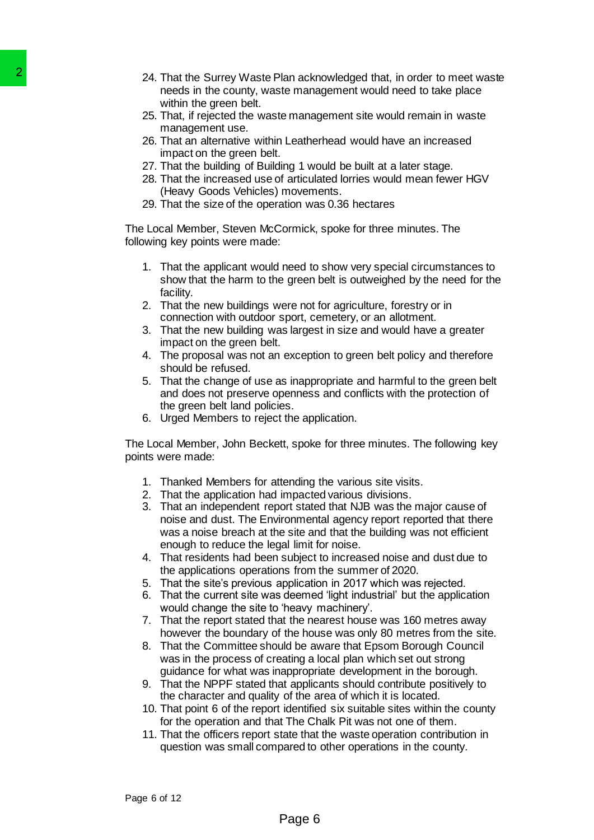- 24. That the Surrey Waste Plan acknowledged that, in order to meet waste needs in the county, waste management would need to take place within the green belt.
- 25. That, if rejected the waste management site would remain in waste management use.
- 26. That an alternative within Leatherhead would have an increased impact on the green belt.
- 27. That the building of Building 1 would be built at a later stage.
- 28. That the increased use of articulated lorries would mean fewer HGV (Heavy Goods Vehicles) movements.
- 29. That the size of the operation was 0.36 hectares

The Local Member, Steven McCormick, spoke for three minutes. The following key points were made:

- 1. That the applicant would need to show very special circumstances to show that the harm to the green belt is outweighed by the need for the facility.
- 2. That the new buildings were not for agriculture, forestry or in connection with outdoor sport, cemetery, or an allotment.
- 3. That the new building was largest in size and would have a greater impact on the green belt.
- 4. The proposal was not an exception to green belt policy and therefore should be refused.
- 5. That the change of use as inappropriate and harmful to the green belt and does not preserve openness and conflicts with the protection of the green belt land policies.
- 6. Urged Members to reject the application.

The Local Member, John Beckett, spoke for three minutes. The following key points were made:

- 1. Thanked Members for attending the various site visits.
- 2. That the application had impacted various divisions.
- 3. That an independent report stated that NJB was the major cause of noise and dust. The Environmental agency report reported that there was a noise breach at the site and that the building was not efficient enough to reduce the legal limit for noise. 24. That the Surrey Waste Plan ack-<br>
meeds in the county, waste Plan ack-<br>
within the groen batt.<br>
management use.<br>
That, if rejected the waste management use.<br>
management use.<br>
That is righted to the green belt.<br>
"That t
	- 4. That residents had been subject to increased noise and dust due to the applications operations from the summer of 2020.
	- 5. That the site's previous application in 2017 which was rejected.
	- 6. That the current site was deemed 'light industrial' but the application would change the site to 'heavy machinery'.
	- 7. That the report stated that the nearest house was 160 metres away however the boundary of the house was only 80 metres from the site.
	- 8. That the Committee should be aware that Epsom Borough Council was in the process of creating a local plan which set out strong guidance for what was inappropriate development in the borough.
	- 9. That the NPPF stated that applicants should contribute positively to the character and quality of the area of which it is located.
	- 10. That point 6 of the report identified six suitable sites within the county for the operation and that The Chalk Pit was not one of them.
	- 11. That the officers report state that the waste operation contribution in question was small compared to other operations in the county.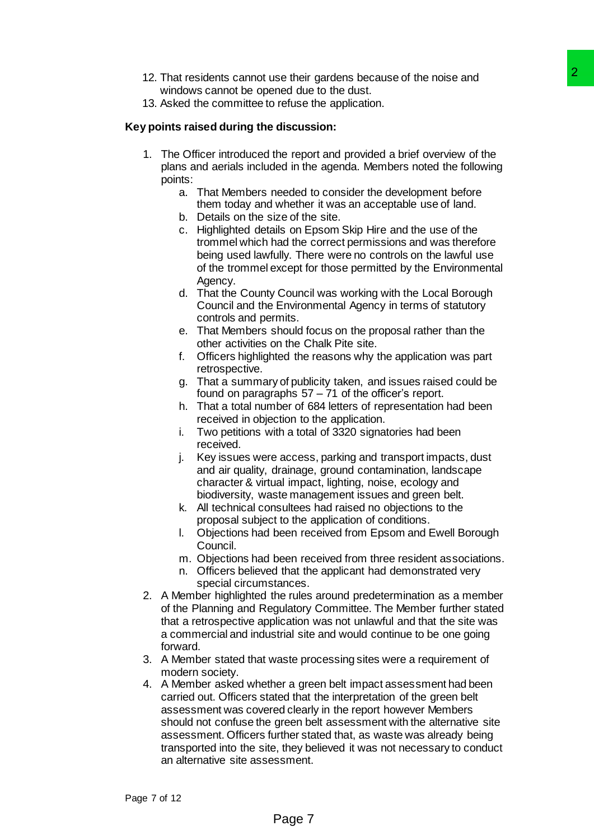- 12. That residents cannot use their gardens because of the noise and windows cannot be opened due to the dust.
- 13. Asked the committee to refuse the application.

## **Key points raised during the discussion:**

- 1. The Officer introduced the report and provided a brief overview of the plans and aerials included in the agenda. Members noted the following points:
	- a. That Members needed to consider the development before them today and whether it was an acceptable use of land.
	- b. Details on the size of the site.
	- c. Highlighted details on Epsom Skip Hire and the use of the trommel which had the correct permissions and was therefore being used lawfully. There were no controls on the lawful use of the trommel except for those permitted by the Environmental Agency.
	- d. That the County Council was working with the Local Borough Council and the Environmental Agency in terms of statutory controls and permits.
	- e. That Members should focus on the proposal rather than the other activities on the Chalk Pite site.
	- f. Officers highlighted the reasons why the application was part retrospective.
	- g. That a summary of publicity taken, and issues raised could be found on paragraphs 57 – 71 of the officer's report.
	- h. That a total number of 684 letters of representation had been received in objection to the application.
	- i. Two petitions with a total of 3320 signatories had been received.
	- j. Key issues were access, parking and transport impacts, dust and air quality, drainage, ground contamination, landscape character & virtual impact, lighting, noise, ecology and biodiversity, waste management issues and green belt.
	- k. All technical consultees had raised no objections to the proposal subject to the application of conditions.
	- l. Objections had been received from Epsom and Ewell Borough Council.
	- m. Objections had been received from three resident associations.
	- n. Officers believed that the applicant had demonstrated very special circumstances.
- 2. A Member highlighted the rules around predetermination as a member of the Planning and Regulatory Committee. The Member further stated that a retrospective application was not unlawful and that the site was a commercial and industrial site and would continue to be one going forward.
- 3. A Member stated that waste processing sites were a requirement of modern society.
- 4. A Member asked whether a green belt impact assessment had been carried out. Officers stated that the interpretation of the green belt assessment was covered clearly in the report however Members should not confuse the green belt assessment with the alternative site assessment. Officers further stated that, as waste was already being transported into the site, they believed it was not necessary to conduct an alternative site assessment. se their gardens because of the noise and<br>
and due to the dust.<br>
The mediation.<br>
Indication:<br>
Indication:<br>
Indication:<br>
Indication:<br>
Indication:<br>
Indication:<br>
Indication:<br>
Indication:<br>
Indication:<br>
Indication:<br>
Indication: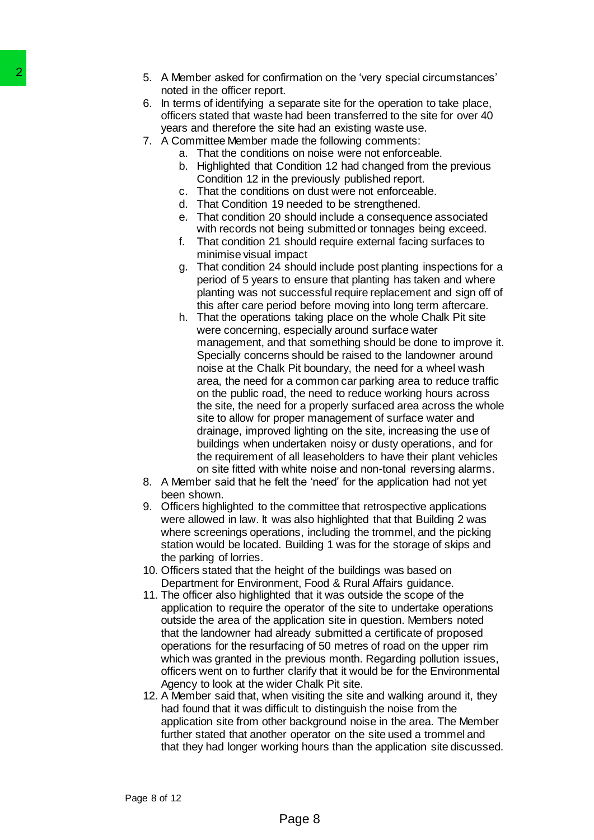- 5. A Member asked for confirmation on the 'very special circumstances' noted in the officer report.
- 6. In terms of identifying a separate site for the operation to take place, officers stated that waste had been transferred to the site for over 40 years and therefore the site had an existing waste use.
- 7. A Committee Member made the following comments:
	- a. That the conditions on noise were not enforceable.
	- b. Highlighted that Condition 12 had changed from the previous Condition 12 in the previously published report.
	- c. That the conditions on dust were not enforceable.
	- d. That Condition 19 needed to be strengthened.
	- e. That condition 20 should include a consequence associated with records not being submitted or tonnages being exceed.
	- f. That condition 21 should require external facing surfaces to minimise visual impact
	- g. That condition 24 should include post planting inspections for a period of 5 years to ensure that planting has taken and where planting was not successful require replacement and sign off of this after care period before moving into long term aftercare.
- h. That the operations taking place on the whole Chalk Pit site were concerning, especially around surface water management, and that something should be done to improve it. Specially concerns should be raised to the landowner around noise at the Chalk Pit boundary, the need for a wheel wash area, the need for a common car parking area to reduce traffic on the public road, the need to reduce working hours across the site, the need for a properly surfaced area across the whole site to allow for proper management of surface water and drainage, improved lighting on the site, increasing the use of buildings when undertaken noisy or dusty operations, and for the requirement of all leaseholders to have their plant vehicles on site fitted with white noise and non-tonal reversing alarms. 2<br>
A Member arsked for croptin<br>
moled in the officer report.<br>
In therms of identifying a separated by a model in the officer report.<br>
officers stated that waste had be<br>
years and therefore the site had be<br>
years and the or
	- 8. A Member said that he felt the 'need' for the application had not yet been shown.
	- 9. Officers highlighted to the committee that retrospective applications were allowed in law. It was also highlighted that that Building 2 was where screenings operations, including the trommel, and the picking station would be located. Building 1 was for the storage of skips and the parking of lorries.
	- 10. Officers stated that the height of the buildings was based on Department for Environment, Food & Rural Affairs guidance.
	- 11. The officer also highlighted that it was outside the scope of the application to require the operator of the site to undertake operations outside the area of the application site in question. Members noted that the landowner had already submitted a certificate of proposed operations for the resurfacing of 50 metres of road on the upper rim which was granted in the previous month. Regarding pollution issues, officers went on to further clarify that it would be for the Environmental Agency to look at the wider Chalk Pit site.
	- 12. A Member said that, when visiting the site and walking around it, they had found that it was difficult to distinguish the noise from the application site from other background noise in the area. The Member further stated that another operator on the site used a trommel and that they had longer working hours than the application site discussed.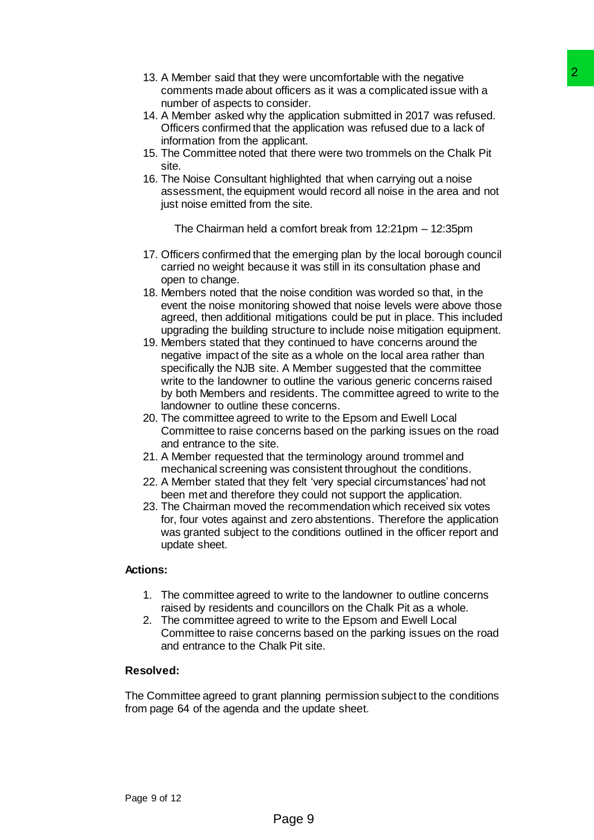- 13. A Member said that they were uncomfortable with the negative comments made about officers as it was a complicated issue with a number of aspects to consider.
- 14. A Member asked why the application submitted in 2017 was refused. Officers confirmed that the application was refused due to a lack of information from the applicant.
- 15. The Committee noted that there were two trommels on the Chalk Pit site.
- 16. The Noise Consultant highlighted that when carrying out a noise assessment, the equipment would record all noise in the area and not just noise emitted from the site.

The Chairman held a comfort break from 12:21pm – 12:35pm

- 17. Officers confirmed that the emerging plan by the local borough council carried no weight because it was still in its consultation phase and open to change.
- 18. Members noted that the noise condition was worded so that, in the event the noise monitoring showed that noise levels were above those agreed, then additional mitigations could be put in place. This included upgrading the building structure to include noise mitigation equipment.
- 19. Members stated that they continued to have concerns around the negative impact of the site as a whole on the local area rather than specifically the NJB site. A Member suggested that the committee write to the landowner to outline the various generic concerns raised by both Members and residents. The committee agreed to write to the landowner to outline these concerns. y were uncombratele with the negative<br>
and officers as it was a complicated issue with a<br>
notificers as it was a complicated issue with a<br>
the application submitted in 2017 was refused.<br>
the application submitted in 2017 w
- 20. The committee agreed to write to the Epsom and Ewell Local Committee to raise concerns based on the parking issues on the road and entrance to the site.
- 21. A Member requested that the terminology around trommel and mechanical screening was consistent throughout the conditions.
- 22. A Member stated that they felt 'very special circumstances' had not been met and therefore they could not support the application.
- 23. The Chairman moved the recommendation which received six votes for, four votes against and zero abstentions. Therefore the application was granted subject to the conditions outlined in the officer report and update sheet.

# **Actions:**

- 1. The committee agreed to write to the landowner to outline concerns raised by residents and councillors on the Chalk Pit as a whole.
- 2. The committee agreed to write to the Epsom and Ewell Local Committee to raise concerns based on the parking issues on the road and entrance to the Chalk Pit site.

# **Resolved:**

The Committee agreed to grant planning permission subject to the conditions from page 64 of the agenda and the update sheet.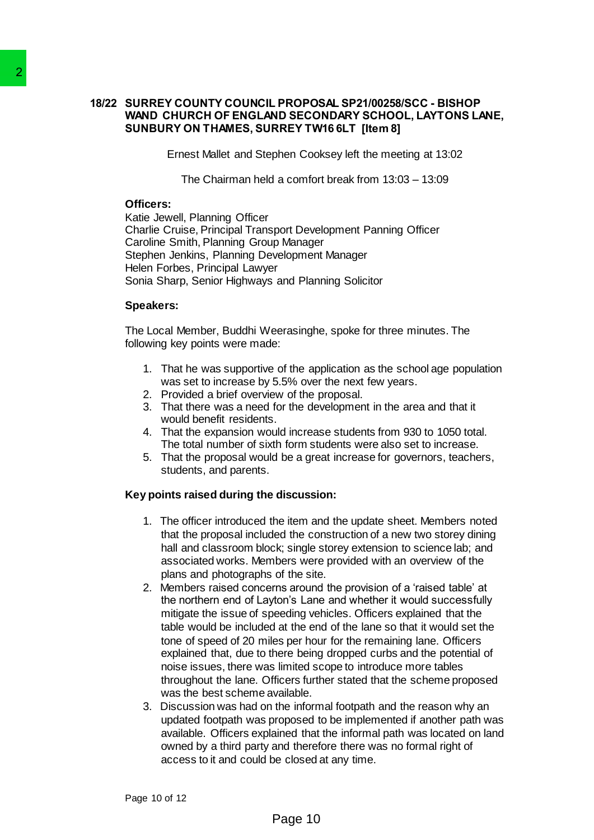# **18/22 SURREY COUNTY COUNCIL PROPOSAL SP21/00258/SCC - BISHOP WAND CHURCH OF ENGLAND SECONDARY SCHOOL, LAYTONS LANE, SUNBURY ON THAMES, SURREY TW16 6LT [Item 8]**

Ernest Mallet and Stephen Cooksey left the meeting at 13:02

The Chairman held a comfort break from 13:03 – 13:09

#### **Officers:**

Katie Jewell, Planning Officer Charlie Cruise, Principal Transport Development Panning Officer Caroline Smith, Planning Group Manager Stephen Jenkins, Planning Development Manager Helen Forbes, Principal Lawyer Sonia Sharp, Senior Highways and Planning Solicitor

#### **Speakers:**

The Local Member, Buddhi Weerasinghe, spoke for three minutes. The following key points were made:

- 1. That he was supportive of the application as the school age population was set to increase by 5.5% over the next few years.
- 2. Provided a brief overview of the proposal.
- 3. That there was a need for the development in the area and that it would benefit residents.
- 4. That the expansion would increase students from 930 to 1050 total. The total number of sixth form students were also set to increase.
- 5. That the proposal would be a great increase for governors, teachers, students, and parents.

#### **Key points raised during the discussion:**

- 1. The officer introduced the item and the update sheet. Members noted that the proposal included the construction of a new two storey dining hall and classroom block; single storey extension to science lab; and associated works. Members were provided with an overview of the plans and photographs of the site.
- 2. Members raised concerns around the provision of a 'raised table' at the northern end of Layton's Lane and whether it would successfully mitigate the issue of speeding vehicles. Officers explained that the table would be included at the end of the lane so that it would set the tone of speed of 20 miles per hour for the remaining lane. Officers explained that, due to there being dropped curbs and the potential of noise issues, there was limited scope to introduce more tables throughout the lane. Officers further stated that the scheme proposed was the best scheme available. 2<br>
18/22 SURREY COUNTY COUNCIL PROPOS<br>
WAND CHURCH OF ENGLAND SECO<br>
SUNBURY ON THAMES, SURREY TW<br>
From the Millel and Stephen Coo<br>
The Chairman held a comfor<br>
Christie Javell, Planning Officer<br>
Caroline Smith, Planning Off
	- 3. Discussion was had on the informal footpath and the reason why an updated footpath was proposed to be implemented if another path was available. Officers explained that the informal path was located on land owned by a third party and therefore there was no formal right of access to it and could be closed at any time.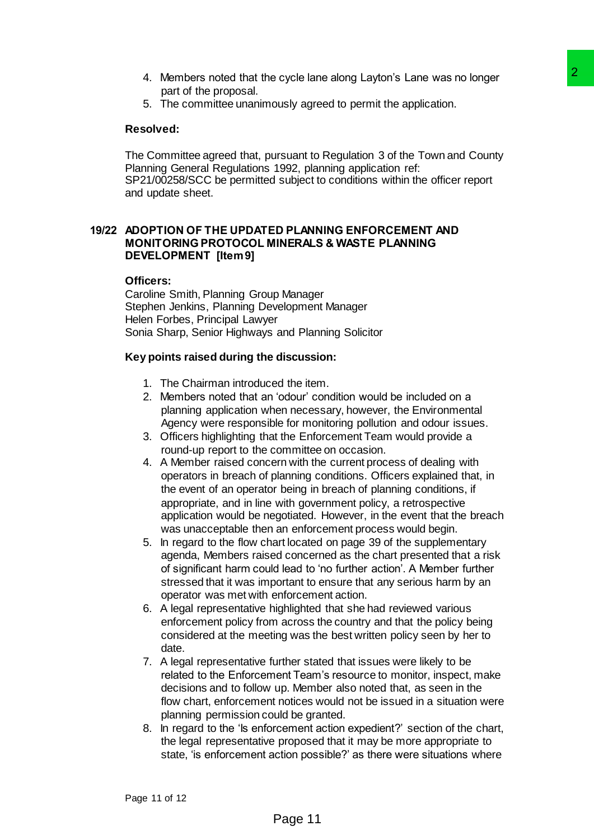- 4. Members noted that the cycle lane along Layton's Lane was no longer part of the proposal.
- 5. The committee unanimously agreed to permit the application.

## **Resolved:**

The Committee agreed that, pursuant to Regulation 3 of the Town and County Planning General Regulations 1992, planning application ref: SP21/00258/SCC be permitted subject to conditions within the officer report and update sheet.

## **19/22 ADOPTION OF THE UPDATED PLANNING ENFORCEMENT AND MONITORING PROTOCOL MINERALS & WASTE PLANNING DEVELOPMENT [Item 9]**

#### **Officers:**

Caroline Smith, Planning Group Manager Stephen Jenkins, Planning Development Manager Helen Forbes, Principal Lawyer Sonia Sharp, Senior Highways and Planning Solicitor

#### **Key points raised during the discussion:**

- 1. The Chairman introduced the item.
- 2. Members noted that an 'odour' condition would be included on a planning application when necessary, however, the Environmental Agency were responsible for monitoring pollution and odour issues.
- 3. Officers highlighting that the Enforcement Team would provide a round-up report to the committee on occasion.
- 4. A Member raised concern with the current process of dealing with operators in breach of planning conditions. Officers explained that, in the event of an operator being in breach of planning conditions, if appropriate, and in line with government policy, a retrospective application would be negotiated. However, in the event that the breach was unacceptable then an enforcement process would begin. e cycle lane along Layton's Lane was no longer<br>
2<br>
cusly agreed to permit the application.<br>
<br>
unsus and the Regulation 3 of the Town and County<br>
1992, planning application ref:<br>
1992, planning application ref:<br>
1992, plann
- 5. In regard to the flow chart located on page 39 of the supplementary agenda, Members raised concerned as the chart presented that a risk of significant harm could lead to 'no further action'. A Member further stressed that it was important to ensure that any serious harm by an operator was met with enforcement action.
- 6. A legal representative highlighted that she had reviewed various enforcement policy from across the country and that the policy being considered at the meeting was the best written policy seen by her to date.
- 7. A legal representative further stated that issues were likely to be related to the Enforcement Team's resource to monitor, inspect, make decisions and to follow up. Member also noted that, as seen in the flow chart, enforcement notices would not be issued in a situation were planning permission could be granted.
- 8. In regard to the 'Is enforcement action expedient?' section of the chart, the legal representative proposed that it may be more appropriate to state, 'is enforcement action possible?' as there were situations where